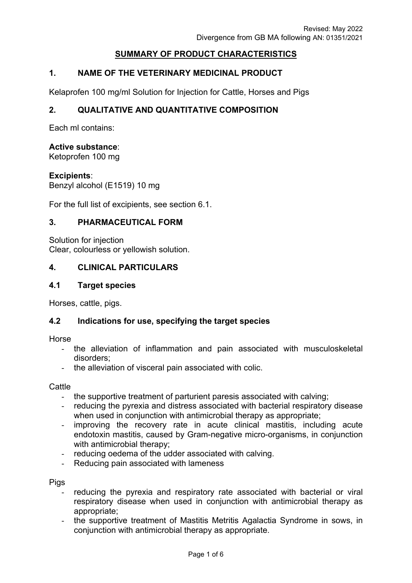# **SUMMARY OF PRODUCT CHARACTERISTICS**

# **1. NAME OF THE VETERINARY MEDICINAL PRODUCT**

Kelaprofen 100 mg/ml Solution for Injection for Cattle, Horses and Pigs

#### **2. QUALITATIVE AND QUANTITATIVE COMPOSITION**

Each ml contains:

#### **Active substance**:

Ketoprofen 100 mg

#### **Excipients**:

Benzyl alcohol (E1519) 10 mg

For the full list of excipients, see section 6.1.

#### **3. PHARMACEUTICAL FORM**

Solution for injection Clear, colourless or yellowish solution.

#### **4. CLINICAL PARTICULARS**

#### **4.1 Target species**

Horses, cattle, pigs.

#### **4.2 Indications for use, specifying the target species**

Horse

- the alleviation of inflammation and pain associated with musculoskeletal disorders;
- the alleviation of visceral pain associated with colic.

**Cattle** 

- the supportive treatment of parturient paresis associated with calving;
- reducing the pyrexia and distress associated with bacterial respiratory disease when used in conjunction with antimicrobial therapy as appropriate;
- improving the recovery rate in acute clinical mastitis, including acute endotoxin mastitis, caused by Gram-negative micro-organisms, in conjunction with antimicrobial therapy;
- reducing oedema of the udder associated with calving.
- Reducing pain associated with lameness

Pigs

- reducing the pyrexia and respiratory rate associated with bacterial or viral respiratory disease when used in conjunction with antimicrobial therapy as appropriate;
- the supportive treatment of Mastitis Metritis Agalactia Syndrome in sows, in conjunction with antimicrobial therapy as appropriate.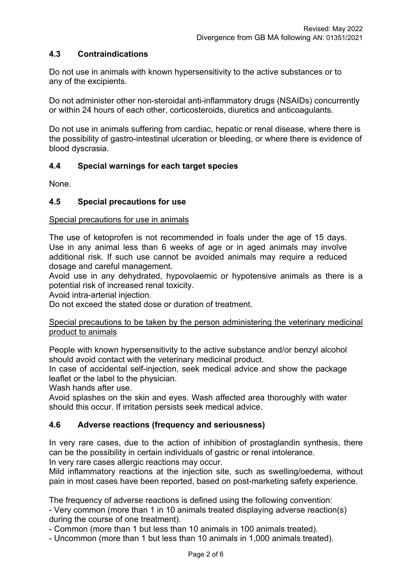# **4.3 Contraindications**

Do not use in animals with known hypersensitivity to the active substances or to any of the excipients.

Do not administer other non-steroidal anti-inflammatory drugs (NSAIDs) concurrently or within 24 hours of each other, corticosteroids, diuretics and anticoagulants.

Do not use in animals suffering from cardiac, hepatic or renal disease, where there is the possibility of gastro-intestinal ulceration or bleeding, or where there is evidence of blood dyscrasia.

# **4.4 Special warnings for each target species**

None.

# **4.5 Special precautions for use**

#### Special precautions for use in animals

The use of ketoprofen is not recommended in foals under the age of 15 days. Use in any animal less than 6 weeks of age or in aged animals may involve additional risk. If such use cannot be avoided animals may require a reduced dosage and careful management.

Avoid use in any dehydrated, hypovolaemic or hypotensive animals as there is a potential risk of increased renal toxicity.

Avoid intra-arterial injection.

Do not exceed the stated dose or duration of treatment.

#### Special precautions to be taken by the person administering the veterinary medicinal product to animals

People with known hypersensitivity to the active substance and/or benzyl alcohol should avoid contact with the veterinary medicinal product.

In case of accidental self-injection, seek medical advice and show the package leaflet or the label to the physician.

Wash hands after use.

Avoid splashes on the skin and eyes. Wash affected area thoroughly with water should this occur. If irritation persists seek medical advice.

# **4.6 Adverse reactions (frequency and seriousness)**

In very rare cases, due to the action of inhibition of prostaglandin synthesis, there can be the possibility in certain individuals of gastric or renal intolerance.

In very rare cases allergic reactions may occur.

Mild inflammatory reactions at the injection site, such as swelling/oedema, without pain in most cases have been reported, based on post-marketing safety experience.

The frequency of adverse reactions is defined using the following convention:

- Very common (more than 1 in 10 animals treated displaying adverse reaction(s) during the course of one treatment).

- Common (more than 1 but less than 10 animals in 100 animals treated).

- Uncommon (more than 1 but less than 10 animals in 1,000 animals treated).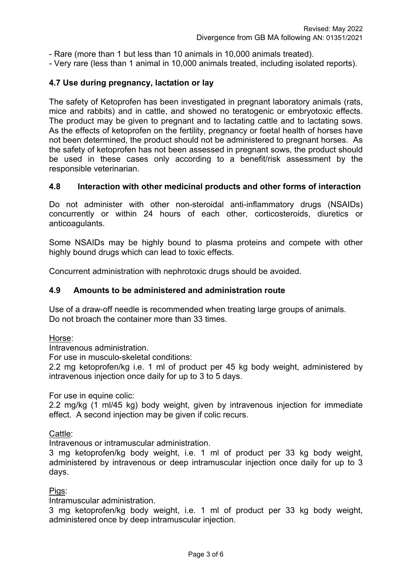- Rare (more than 1 but less than 10 animals in 10,000 animals treated).

- Very rare (less than 1 animal in 10,000 animals treated, including isolated reports).

### **4.7 Use during pregnancy, lactation or lay**

The safety of Ketoprofen has been investigated in pregnant laboratory animals (rats, mice and rabbits) and in cattle, and showed no teratogenic or embryotoxic effects. The product may be given to pregnant and to lactating cattle and to lactating sows. As the effects of ketoprofen on the fertility, pregnancy or foetal health of horses have not been determined, the product should not be administered to pregnant horses. As the safety of ketoprofen has not been assessed in pregnant sows, the product should be used in these cases only according to a benefit/risk assessment by the responsible veterinarian.

#### **4.8 Interaction with other medicinal products and other forms of interaction**

Do not administer with other non-steroidal anti-inflammatory drugs (NSAIDs) concurrently or within 24 hours of each other, corticosteroids, diuretics or anticoagulants.

Some NSAIDs may be highly bound to plasma proteins and compete with other highly bound drugs which can lead to toxic effects.

Concurrent administration with nephrotoxic drugs should be avoided.

#### **4.9 Amounts to be administered and administration route**

Use of a draw-off needle is recommended when treating large groups of animals. Do not broach the container more than 33 times.

Horse:

Intravenous administration.

For use in musculo-skeletal conditions:

2.2 mg ketoprofen/kg i.e. 1 ml of product per 45 kg body weight, administered by intravenous injection once daily for up to 3 to 5 days.

For use in equine colic:

2.2 mg/kg (1 ml/45 kg) body weight, given by intravenous injection for immediate effect. A second injection may be given if colic recurs.

Cattle:

Intravenous or intramuscular administration.

3 mg ketoprofen/kg body weight, i.e. 1 ml of product per 33 kg body weight, administered by intravenous or deep intramuscular injection once daily for up to 3 days.

Pigs:

Intramuscular administration.

3 mg ketoprofen/kg body weight, i.e. 1 ml of product per 33 kg body weight, administered once by deep intramuscular injection.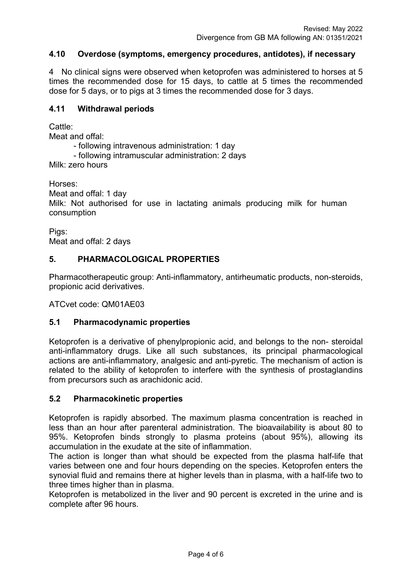# **4.10 Overdose (symptoms, emergency procedures, antidotes), if necessary**

4 No clinical signs were observed when ketoprofen was administered to horses at 5 times the recommended dose for 15 days, to cattle at 5 times the recommended dose for 5 days, or to pigs at 3 times the recommended dose for 3 days.

#### **4.11 Withdrawal periods**

Cattle:

Meat and offal:

- following intravenous administration: 1 day

- following intramuscular administration: 2 days

Milk: zero hours

Horses:

Meat and offal: 1 day

Milk: Not authorised for use in lactating animals producing milk for human consumption

Pigs: Meat and offal: 2 days

# **5. PHARMACOLOGICAL PROPERTIES**

Pharmacotherapeutic group: Anti-inflammatory, antirheumatic products, non-steroids, propionic acid derivatives.

ATCvet code: QM01AE03

# **5.1 Pharmacodynamic properties**

Ketoprofen is a derivative of phenylpropionic acid, and belongs to the non- steroidal anti-inflammatory drugs. Like all such substances, its principal pharmacological actions are anti-inflammatory, analgesic and anti-pyretic. The mechanism of action is related to the ability of ketoprofen to interfere with the synthesis of prostaglandins from precursors such as arachidonic acid.

# **5.2 Pharmacokinetic properties**

Ketoprofen is rapidly absorbed. The maximum plasma concentration is reached in less than an hour after parenteral administration. The bioavailability is about 80 to 95%. Ketoprofen binds strongly to plasma proteins (about 95%), allowing its accumulation in the exudate at the site of inflammation.

The action is longer than what should be expected from the plasma half-life that varies between one and four hours depending on the species. Ketoprofen enters the synovial fluid and remains there at higher levels than in plasma, with a half-life two to three times higher than in plasma.

Ketoprofen is metabolized in the liver and 90 percent is excreted in the urine and is complete after 96 hours.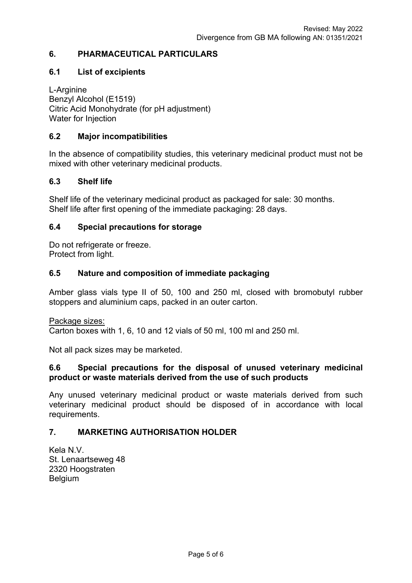# **6. PHARMACEUTICAL PARTICULARS**

#### **6.1 List of excipients**

L-Arginine Benzyl Alcohol (E1519) Citric Acid Monohydrate (for pH adjustment) Water for Injection

#### **6.2 Major incompatibilities**

In the absence of compatibility studies, this veterinary medicinal product must not be mixed with other veterinary medicinal products.

#### **6.3 Shelf life**

Shelf life of the veterinary medicinal product as packaged for sale: 30 months. Shelf life after first opening of the immediate packaging: 28 days.

#### **6.4 Special precautions for storage**

Do not refrigerate or freeze. Protect from light.

#### **6.5 Nature and composition of immediate packaging**

Amber glass vials type II of 50, 100 and 250 ml, closed with bromobutyl rubber stoppers and aluminium caps, packed in an outer carton.

Package sizes:

Carton boxes with 1, 6, 10 and 12 vials of 50 ml, 100 ml and 250 ml.

Not all pack sizes may be marketed.

#### **6.6 Special precautions for the disposal of unused veterinary medicinal product or waste materials derived from the use of such products**

Any unused veterinary medicinal product or waste materials derived from such veterinary medicinal product should be disposed of in accordance with local requirements.

#### **7. MARKETING AUTHORISATION HOLDER**

Kela N.V. St. Lenaartseweg 48 2320 Hoogstraten **Belgium**